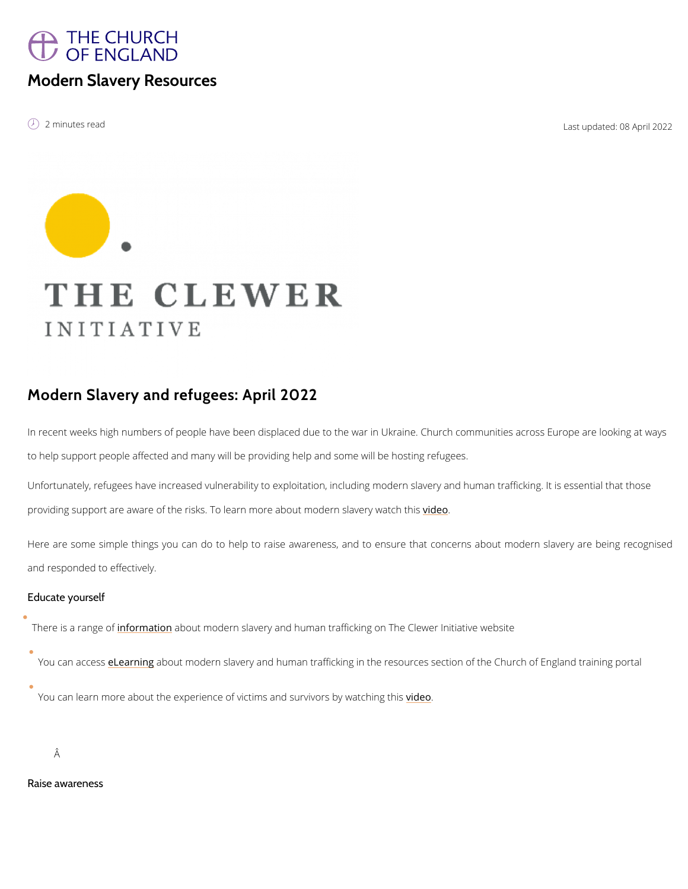# THE CHURCH OF ENGLAND

### Modern Slavery Resources

é 2 minutes read Last updated: 2

## Modern Slavery and refugees: April 2022

In recent weeks high numbers of people have been displaced due to the war in Ukraine. Chur to help support people affected and many will be providing help and some will be hosting ref Unfortunately, refugees have increased vulnerability to exploitation, including modern slaver providing support are aware of the risks. To learn more *vaible* wot modern slavery watch this

Here are some simple things you can do to help to raise awareness, and to ensure that c and responded to effectively.

Educate yourself

There is a raim forem atia bout modern slavery and human trafficking on The Clewer Initiative we

#### You can aetessniabout modern slavery and human trafficking in the resources section of th

You can learn more about the experience of victims [and](https://www.youtube.com/watch?v=5oxbpLdtY3U&list=PLkaqIn7jUisnLLRl-QFpsbc_HEPFw5yPN&index=4) the survivors by watching this

Â

Raise awareness